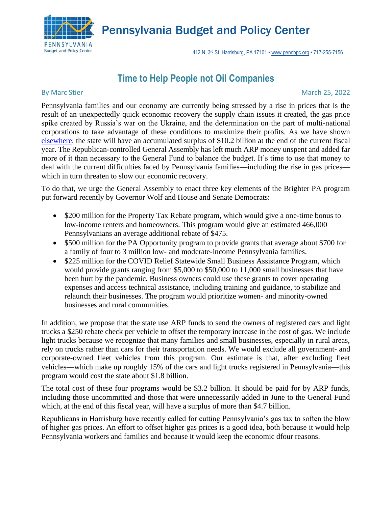

Pennsylvania Budget and Policy Center

412 N. 3rd St, Harrisburg, PA 17101 • [www.pennbpc.org](http://www.pennbpc.org/) • 717-255-7156

## **Time to Help People not Oil Companies**

## By Marc Stier Matter March 25, 2022 and the United States of March 25, 2022 and the March 25, 2022

Pennsylvania families and our economy are currently being stressed by a rise in prices that is the result of an unexpectedly quick economic recovery the supply chain issues it created, the gas price spike created by Russia's war on the Ukraine, and the determination on the part of multi-national corporations to take advantage of these conditions to maximize their profits. As we have shown [elsewhere,](https://krc-pbpc.org/research_publication/17057/) the state will have an accumulated surplus of \$10.2 billion at the end of the current fiscal year. The Republican-controlled General Assembly has left much ARP money unspent and added far more of it than necessary to the General Fund to balance the budget. It's time to use that money to deal with the current difficulties faced by Pennsylvania families—including the rise in gas prices which in turn threaten to slow our economic recovery.

To do that, we urge the General Assembly to enact three key elements of the Brighter PA program put forward recently by Governor Wolf and House and Senate Democrats:

- \$200 million for the Property Tax Rebate program, which would give a one-time bonus to low-income renters and homeowners. This program would give an estimated 466,000 Pennsylvanians an average additional rebate of \$475.
- \$500 million for the PA Opportunity program to provide grants that average about \$700 for a family of four to 3 million low- and moderate-income Pennsylvania families.
- \$225 million for the COVID Relief Statewide Small Business Assistance Program, which would provide grants ranging from \$5,000 to \$50,000 to 11,000 small businesses that have been hurt by the pandemic. Business owners could use these grants to cover operating expenses and access technical assistance, including training and guidance, to stabilize and relaunch their businesses. The program would prioritize women- and minority-owned businesses and rural communities.

In addition, we propose that the state use ARP funds to send the owners of registered cars and light trucks a \$250 rebate check per vehicle to offset the temporary increase in the cost of gas. We include light trucks because we recognize that many families and small businesses, especially in rural areas, rely on trucks rather than cars for their transportation needs. We would exclude all government- and corporate-owned fleet vehicles from this program. Our estimate is that, after excluding fleet vehicles—which make up roughly 15% of the cars and light trucks registered in Pennsylvania—this program would cost the state about \$1.8 billion.

The total cost of these four programs would be \$3.2 billion. It should be paid for by ARP funds, including those uncommitted and those that were unnecessarily added in June to the General Fund which, at the end of this fiscal year, will have a surplus of more than \$4.7 billion.

Republicans in Harrisburg have recently called for cutting Pennsylvania's gas tax to soften the blow of higher gas prices. An effort to offset higher gas prices is a good idea, both because it would help Pennsylvania workers and families and because it would keep the economic dfour reasons.